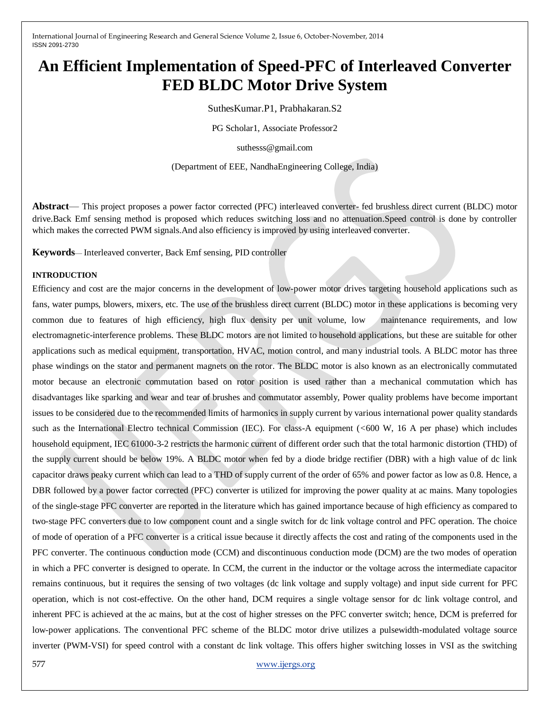# **An Efficient Implementation of Speed-PFC of Interleaved Converter FED BLDC Motor Drive System**

SuthesKumar.P1, Prabhakaran.S2

PG Scholar1, Associate Professor2

suthesss@gmail.com

(Department of EEE, NandhaEngineering College, India)

**Abstract**— This project proposes a power factor corrected (PFC) interleaved converter- fed brushless direct current (BLDC) motor drive.Back Emf sensing method is proposed which reduces switching loss and no attenuation.Speed control is done by controller which makes the corrected PWM signals. And also efficiency is improved by using interleaved converter.

**Keywords**— Interleaved converter, Back Emf sensing, PID controller

#### **INTRODUCTION**

Efficiency and cost are the major concerns in the development of low-power motor drives targeting household applications such as fans, water pumps, blowers, mixers, etc. The use of the brushless direct current (BLDC) motor in these applications is becoming very common due to features of high efficiency, high flux density per unit volume, low maintenance requirements, and low electromagnetic-interference problems. These BLDC motors are not limited to household applications, but these are suitable for other applications such as medical equipment, transportation, HVAC, motion control, and many industrial tools. A BLDC motor has three phase windings on the stator and permanent magnets on the rotor. The BLDC motor is also known as an electronically commutated motor because an electronic commutation based on rotor position is used rather than a mechanical commutation which has disadvantages like sparking and wear and tear of brushes and commutator assembly, Power quality problems have become important issues to be considered due to the recommended limits of harmonics in supply current by various international power quality standards such as the International Electro technical Commission (IEC). For class-A equipment (*<*600 W, 16 A per phase) which includes household equipment, IEC 61000-3-2 restricts the harmonic current of different order such that the total harmonic distortion (THD) of the supply current should be below 19%. A BLDC motor when fed by a diode bridge rectifier (DBR) with a high value of dc link capacitor draws peaky current which can lead to a THD of supply current of the order of 65% and power factor as low as 0.8. Hence, a DBR followed by a power factor corrected (PFC) converter is utilized for improving the power quality at ac mains. Many topologies of the single-stage PFC converter are reported in the literature which has gained importance because of high efficiency as compared to two-stage PFC converters due to low component count and a single switch for dc link voltage control and PFC operation. The choice of mode of operation of a PFC converter is a critical issue because it directly affects the cost and rating of the components used in the PFC converter. The continuous conduction mode (CCM) and discontinuous conduction mode (DCM) are the two modes of operation in which a PFC converter is designed to operate. In CCM, the current in the inductor or the voltage across the intermediate capacitor remains continuous, but it requires the sensing of two voltages (dc link voltage and supply voltage) and input side current for PFC operation, which is not cost-effective. On the other hand, DCM requires a single voltage sensor for dc link voltage control, and inherent PFC is achieved at the ac mains, but at the cost of higher stresses on the PFC converter switch; hence, DCM is preferred for low-power applications. The conventional PFC scheme of the BLDC motor drive utilizes a pulsewidth-modulated voltage source inverter (PWM-VSI) for speed control with a constant dc link voltage. This offers higher switching losses in VSI as the switching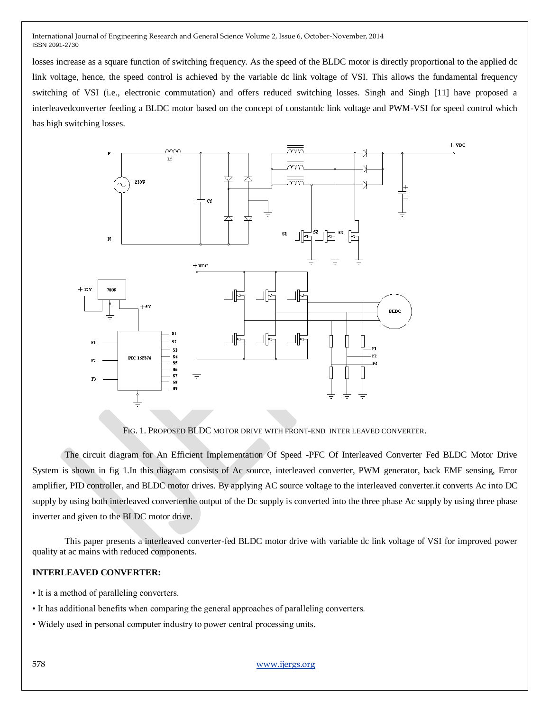losses increase as a square function of switching frequency. As the speed of the BLDC motor is directly proportional to the applied dc link voltage, hence, the speed control is achieved by the variable dc link voltage of VSI. This allows the fundamental frequency switching of VSI (i.e., electronic commutation) and offers reduced switching losses. Singh and Singh [11] have proposed a interleavedconverter feeding a BLDC motor based on the concept of constantdc link voltage and PWM-VSI for speed control which has high switching losses.



FIG. 1. PROPOSED BLDC MOTOR DRIVE WITH FRONT-END INTER LEAVED CONVERTER.

The circuit diagram for An Efficient Implementation Of Speed -PFC Of Interleaved Converter Fed BLDC Motor Drive System is shown in fig 1.In this diagram consists of Ac source, interleaved converter, PWM generator, back EMF sensing, Error amplifier, PID controller, and BLDC motor drives. By applying AC source voltage to the interleaved converter.it converts Ac into DC supply by using both interleaved converterthe output of the Dc supply is converted into the three phase Ac supply by using three phase inverter and given to the BLDC motor drive.

This paper presents a interleaved converter-fed BLDC motor drive with variable dc link voltage of VSI for improved power quality at ac mains with reduced components.

#### **INTERLEAVED CONVERTER:**

- It is a method of paralleling converters.
- It has additional benefits when comparing the general approaches of paralleling converters.
- Widely used in personal computer industry to power central processing units.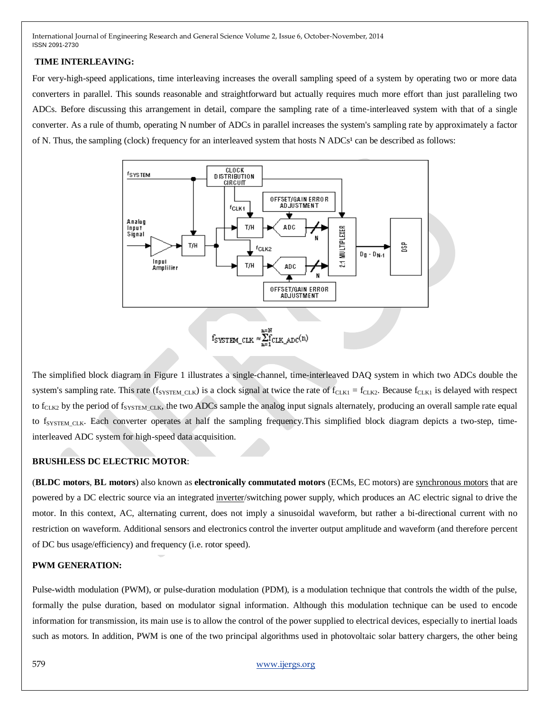## **TIME INTERLEAVING:**

For very-high-speed applications, time interleaving increases the overall sampling speed of a system by operating two or more data converters in parallel. This sounds reasonable and straightforward but actually requires much more effort than just paralleling two ADCs. Before discussing this arrangement in detail, compare the sampling rate of a time-interleaved system with that of a single converter. As a rule of thumb, operating N number of ADCs in parallel increases the system's sampling rate by approximately a factor of N. Thus, the sampling (clock) frequency for an interleaved system that hosts N ADCs<sup>1</sup> can be described as follows:



The simplified block diagram in Figure 1 illustrates a single-channel, time-interleaved DAQ system in which two ADCs double the system's sampling rate. This rate ( $f_{SYSTEM\_CLK}$ ) is a clock signal at twice the rate of  $f_{CLK1} = f_{CLK2}$ . Because  $f_{CLK1}$  is delayed with respect to  $f_{CLK2}$  by the period of  $f_{SYSTEM\ CLK}$ , the two ADCs sample the analog input signals alternately, producing an overall sample rate equal to  $f_{\text{SYSTEM CLK}}$ . Each converter operates at half the sampling frequency. This simplified block diagram depicts a two-step, timeinterleaved ADC system for high-speed data acquisition.

# **BRUSHLESS DC ELECTRIC MOTOR**:

(**BLDC motors**, **BL motors**) also known as **electronically commutated motors** (ECMs, EC motors) are [synchronous motors](http://en.wikipedia.org/wiki/Synchronous_motor) that are powered by a DC electric source via an integrated [inverter/](http://en.wikipedia.org/wiki/Inverter_(electrical))switching power supply, which produces an AC electric signal to drive the motor. In this context, AC, alternating current, does not imply a sinusoidal waveform, but rather a bi-directional current with no restriction on waveform. Additional sensors and electronics control the inverter output amplitude and waveform (and therefore percent of DC bus usage/efficiency) and frequency (i.e. rotor speed).

## **PWM GENERATION:**

Pulse-width modulation (PWM), or pulse-duration modulation (PDM), is a modulation technique that controls the width of the pulse, formally the pulse duration, based on modulator signal information. Although this modulation technique can be used to encode information for transmission, its main use is to allow the control of the power supplied to electrical devices, especially to inertial loads such as motors. In addition, PWM is one of the two principal algorithms used in photovoltaic solar battery chargers, the other being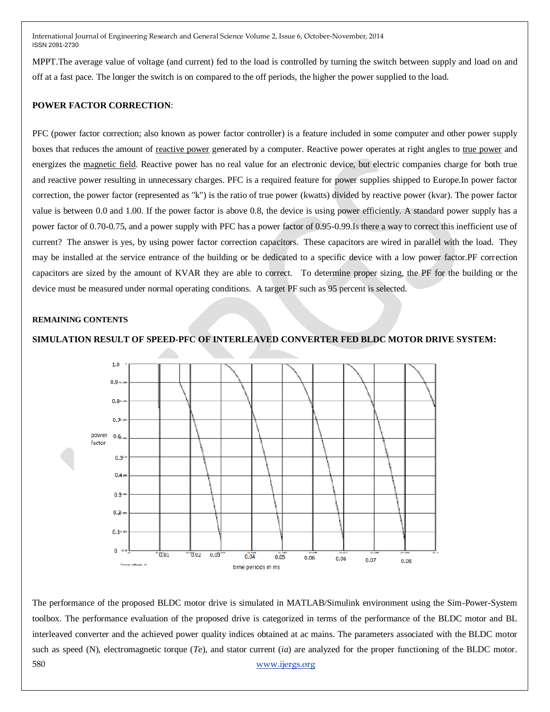MPPT.The average value of voltage (and current) fed to the load is controlled by turning the switch between supply and load on and off at a fast pace. The longer the switch is on compared to the off periods, the higher the power supplied to the load.

# **POWER FACTOR CORRECTION**:

PFC (power factor correction; also known as power factor controller) is a feature included in some computer and other power supply boxes that reduces the amount of [reactive power](http://searchcio-midmarket.techtarget.com/definition/reactive-power) generated by a computer. Reactive power operates at right angles to [true power](http://whatis.techtarget.com/definition/true-power) and energizes the [magnetic field.](http://searchcio-midmarket.techtarget.com/definition/magnetic-field) Reactive power has no real value for an electronic device, but electric companies charge for both true and reactive power resulting in unnecessary charges. PFC is a required feature for power supplies shipped to Europe.In power factor correction, the power factor (represented as "k") is the ratio of true power (kwatts) divided by reactive power (kvar). The power factor value is between 0.0 and 1.00. If the power factor is above 0.8, the device is using power efficiently. A standard power supply has a power factor of 0.70-0.75, and a power supply with PFC has a power factor of 0.95-0.99.Is there a way to correct this inefficient use of current? The answer is yes, by using power factor correction capacitors. These capacitors are wired in parallel with the load. They may be installed at the service entrance of the building or be dedicated to a specific device with a low power factor.PF correction capacitors are sized by the amount of KVAR they are able to correct. To determine proper sizing, the PF for the building or the device must be measured under normal operating conditions. A target PF such as 95 percent is selected.

## **REMAINING CONTENTS**





580 www.ijergs.org The performance of the proposed BLDC motor drive is simulated in MATLAB/Simulink environment using the Sim-Power-System toolbox. The performance evaluation of the proposed drive is categorized in terms of the performance of the BLDC motor and BL interleaved converter and the achieved power quality indices obtained at ac mains. The parameters associated with the BLDC motor such as speed (N), electromagnetic torque (*Te*), and stator current (*ia*) are analyzed for the proper functioning of the BLDC motor.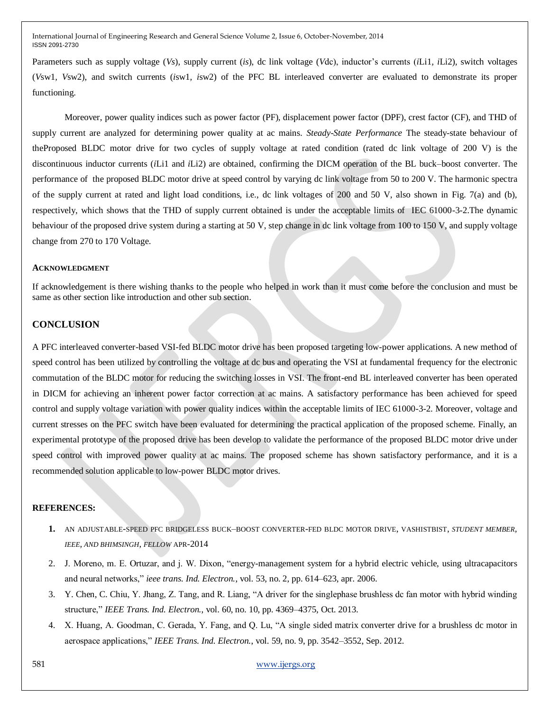Parameters such as supply voltage (*Vs*), supply current (*is*), dc link voltage (*V*dc), inductor's currents (*i*Li1*, i*Li2), switch voltages (*V*sw1*, V*sw2), and switch currents (*i*sw1*, i*sw2) of the PFC BL interleaved converter are evaluated to demonstrate its proper functioning.

Moreover, power quality indices such as power factor (PF), displacement power factor (DPF), crest factor (CF), and THD of supply current are analyzed for determining power quality at ac mains. *Steady-State Performance* The steady-state behaviour of theProposed BLDC motor drive for two cycles of supply voltage at rated condition (rated dc link voltage of 200 V) is the discontinuous inductor currents (*i*Li1 and *i*Li2) are obtained, confirming the DICM operation of the BL buck–boost converter. The performance of the proposed BLDC motor drive at speed control by varying dc link voltage from 50 to 200 V. The harmonic spectra of the supply current at rated and light load conditions, i.e., dc link voltages of 200 and 50 V, also shown in Fig. 7(a) and (b), respectively, which shows that the THD of supply current obtained is under the acceptable limits of IEC 61000-3-2.The dynamic behaviour of the proposed drive system during a starting at 50 V, step change in dc link voltage from 100 to 150 V, and supply voltage change from 270 to 170 Voltage.

#### **ACKNOWLEDGMENT**

If acknowledgement is there wishing thanks to the people who helped in work than it must come before the conclusion and must be same as other section like introduction and other sub section.

# **CONCLUSION**

A PFC interleaved converter-based VSI-fed BLDC motor drive has been proposed targeting low-power applications. A new method of speed control has been utilized by controlling the voltage at dc bus and operating the VSI at fundamental frequency for the electronic commutation of the BLDC motor for reducing the switching losses in VSI. The front-end BL interleaved converter has been operated in DICM for achieving an inherent power factor correction at ac mains. A satisfactory performance has been achieved for speed control and supply voltage variation with power quality indices within the acceptable limits of IEC 61000-3-2. Moreover, voltage and current stresses on the PFC switch have been evaluated for determining the practical application of the proposed scheme. Finally, an experimental prototype of the proposed drive has been develop to validate the performance of the proposed BLDC motor drive under speed control with improved power quality at ac mains. The proposed scheme has shown satisfactory performance, and it is a recommended solution applicable to low-power BLDC motor drives.

## **REFERENCES:**

- **1.** AN ADJUSTABLE-SPEED PFC BRIDGELESS BUCK–BOOST CONVERTER-FED BLDC MOTOR DRIVE, VASHISTBIST, *STUDENT MEMBER, IEEE, AND BHIMSINGH, FELLOW* APR-2014
- 2. J. Moreno, m. E. Ortuzar, and j. W. Dixon, "energy-management system for a hybrid electric vehicle, using ultracapacitors and neural networks," *ieee trans. Ind. Electron.*, vol. 53, no. 2, pp. 614–623, apr. 2006.
- 3. Y. Chen, C. Chiu, Y. Jhang, Z. Tang, and R. Liang, "A driver for the singlephase brushless dc fan motor with hybrid winding structure,‖ *IEEE Trans. Ind. Electron.*, vol. 60, no. 10, pp. 4369–4375, Oct. 2013.
- 4. X. Huang, A. Goodman, C. Gerada, Y. Fang, and Q. Lu, "A single sided matrix converter drive for a brushless dc motor in aerospace applications,‖ *IEEE Trans. Ind. Electron.*, vol. 59, no. 9, pp. 3542–3552, Sep. 2012.